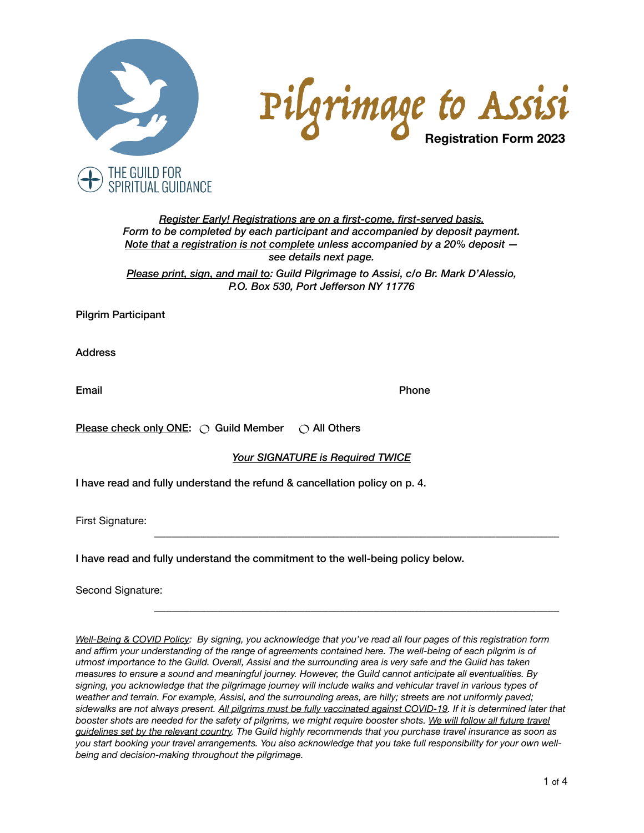



*Register Early! Registrations are on a first-come, first-served basis. Form to be completed by each participant and accompanied by deposit payment. Note that a registration is not complete unless accompanied by a 20% deposit see details next page.*

*Please print, sign, and mail to: Guild Pilgrimage to Assisi, c/o Br. Mark D'Alessio, P.O. Box 530, Port Jefferson NY 11776*

Pilgrim Participant

Address

Email **Email Email Email** 

Please check only ONE:  $\bigcirc$  Guild Member  $\bigcirc$  All Others

### *Your SIGNATURE is Required TWICE*

\_\_\_\_\_\_\_\_\_\_\_\_\_\_\_\_\_\_\_\_\_\_\_\_\_\_\_\_\_\_\_\_\_\_\_\_\_\_\_\_\_\_\_\_\_\_\_\_\_\_\_\_\_\_\_\_\_\_\_\_\_\_\_\_\_\_\_\_\_\_

\_\_\_\_\_\_\_\_\_\_\_\_\_\_\_\_\_\_\_\_\_\_\_\_\_\_\_\_\_\_\_\_\_\_\_\_\_\_\_\_\_\_\_\_\_\_\_\_\_\_\_\_\_\_\_\_\_\_\_\_\_\_\_\_\_\_\_\_\_\_

I have read and fully understand the refund & cancellation policy on p. 4.

First Signature:

I have read and fully understand the commitment to the well-being policy below.

Second Signature:

*Well-Being & COVID Policy: By signing, you acknowledge that you've read all four pages of this registration form and affirm your understanding of the range of agreements contained here. The well-being of each pilgrim is of utmost importance to the Guild. Overall, Assisi and the surrounding area is very safe and the Guild has taken measures to ensure a sound and meaningful journey. However, the Guild cannot anticipate all eventualities. By signing, you acknowledge that the pilgrimage journey will include walks and vehicular travel in various types of weather and terrain. For example, Assisi, and the surrounding areas, are hilly; streets are not uniformly paved; sidewalks are not always present. All pilgrims must be fully vaccinated against COVID-19. If it is determined later that*  booster shots are needed for the safety of pilgrims, we might require booster shots. We will follow all future travel *guidelines set by the relevant country. The Guild highly recommends that you purchase travel insurance as soon as you start booking your travel arrangements. You also acknowledge that you take full responsibility for your own wellbeing and decision-making throughout the pilgrimage.*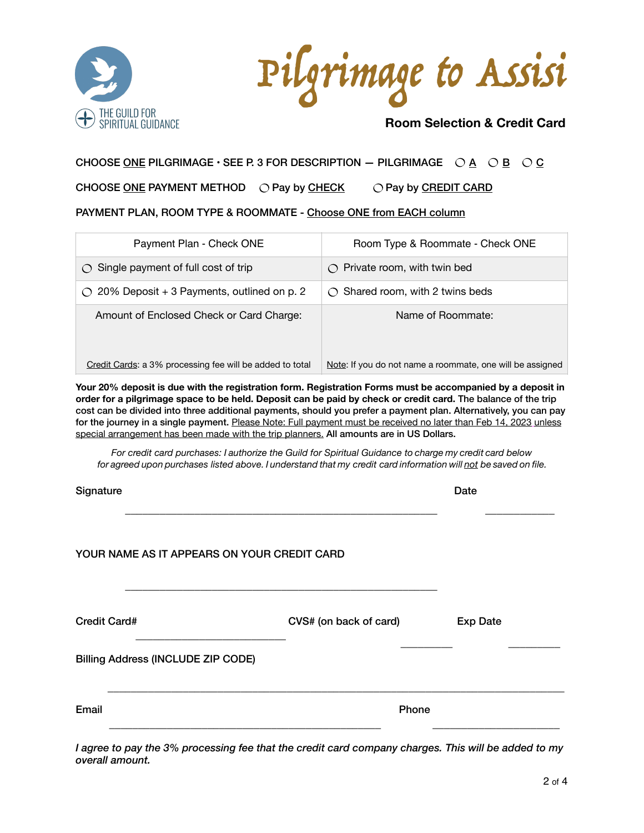

Pilgrimage to Assisi

# **Room Selection & Credit Card**

## CHOOSE ONE PILGRIMAGE  $\cdot$  SEE P. 3 FOR DESCRIPTION - PILGRIMAGE  $\overline{OA}$   $\overline{OA}$   $\overline{OB}$   $\overline{OC}$

CHOOSE ONE PAYMENT METHOD  $\bigcirc$  Pay by CHECK  $\bigcirc$  Pay by CREDIT CARD

PAYMENT PLAN, ROOM TYPE & ROOMMATE - Choose ONE from EACH column

| Payment Plan - Check ONE                                       | Room Type & Roommate - Check ONE                                                              |
|----------------------------------------------------------------|-----------------------------------------------------------------------------------------------|
| $\circ$ Single payment of full cost of trip                    | Private room, with twin bed<br>$\left(\begin{array}{c} \lambda \\ \lambda \end{array}\right)$ |
| 20% Deposit + 3 Payments, outlined on p. 2<br>$\left( \right)$ | Shared room, with 2 twins beds<br>$\bigcap$                                                   |
| Amount of Enclosed Check or Card Charge:                       | Name of Roommate:                                                                             |
| Credit Cards: a 3% processing fee will be added to total       | Note: If you do not name a roommate, one will be assigned                                     |

**Your 20% deposit is due with the registration form. Registration Forms must be accompanied by a deposit in order for a pilgrimage space to be held. Deposit can be paid by check or credit card.** The balance of the trip cost can be divided into three additional payments, should you prefer a payment plan. Alternatively, you can pay for the journey in a single payment. Please Note: Full payment must be received no later than Feb 14, 2023 unless special arrangement has been made with the trip planners. All amounts are in US Dollars.

*For credit card purchases: I authorize the Guild for Spiritual Guidance to charge my credit card below for agreed upon purchases listed above. I understand that my credit card information will not be saved on file.*

| Signature                                   |                        | Date            |
|---------------------------------------------|------------------------|-----------------|
| YOUR NAME AS IT APPEARS ON YOUR CREDIT CARD |                        |                 |
| Credit Card#                                | CVS# (on back of card) | <b>Exp Date</b> |
| <b>Billing Address (INCLUDE ZIP CODE)</b>   |                        |                 |
| Email                                       | Phone                  |                 |

*I agree to pay the 3% processing fee that the credit card company charges. This will be added to my overall amount.*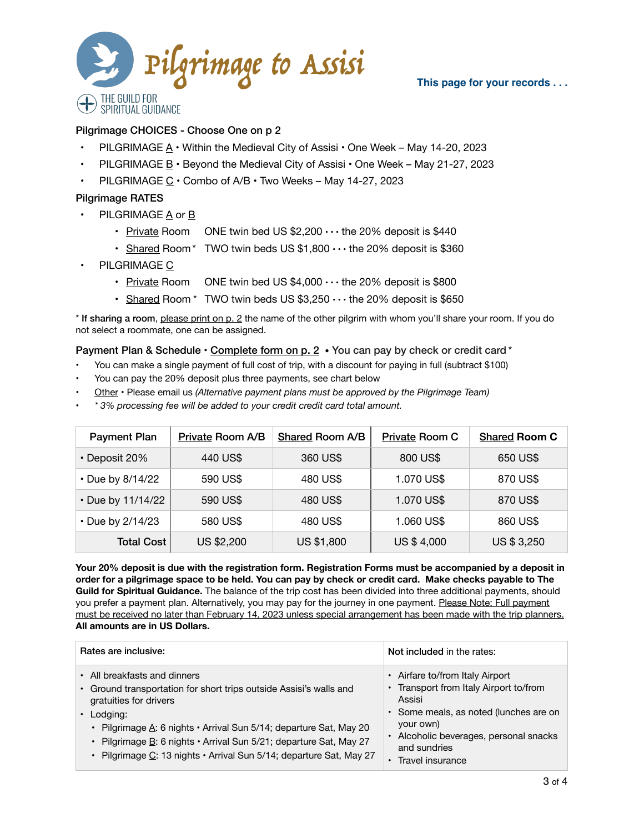

#### **This page for your records . . .**

## Pilgrimage CHOICES - Choose One on p 2

- PILGRIMAGE  $A \cdot$  Within the Medieval City of Assisi  $\cdot$  One Week May 14-20, 2023
- PILGRIMAGE B Beyond the Medieval City of Assisi One Week May 21-27, 2023
- PILGRIMAGE C Combo of A/B Two Weeks May 14-27, 2023

### Pilgrimage RATES

- PILGRIMAGE A or B
	- Private Room ONE twin bed US  $$2,200 \cdots$  the 20% deposit is  $$440$
	- Shared Room\* TWO twin beds US  $$1,800 \cdots$  the 20% deposit is \$360
- PILGRIMAGE C
	- Private Room ONE twin bed US  $$4,000 \cdots$  the 20% deposit is  $$800$
	- Shared Room  $*$  TWO twin beds US \$3,250  $\cdots$  the 20% deposit is \$650

\* If sharing a room, please print on p. 2 the name of the other pilgrim with whom you'll share your room. If you do not select a roommate, one can be assigned.

## Payment Plan & Schedule · Complete form on p. 2 · You can pay by check or credit card \*

- You can make a single payment of full cost of trip, with a discount for paying in full (subtract \$100)
- You can pay the 20% deposit plus three payments, see chart below
- Other Please email us *(Alternative payment plans must be approved by the Pilgrimage Team)*
- *\* 3% processing fee will be added to your credit credit card total amount.*

| <b>Payment Plan</b> | Private Room A/B | <b>Shared Room A/B</b> | <b>Private Room C</b> | <b>Shared Room C</b> |
|---------------------|------------------|------------------------|-----------------------|----------------------|
| • Deposit 20%       | 440 US\$         | 360 US\$               | 800 US\$              | 650 US\$             |
| • Due by 8/14/22    | 590 US\$         | 480 US\$               | 1.070 US\$            | 870 US\$             |
| • Due by 11/14/22   | 590 US\$         | 480 US\$               | 1.070 US\$            | 870 US\$             |
| • Due by 2/14/23    | 580 US\$         | 480 US\$               | 1.060 US\$            | 860 US\$             |
| <b>Total Cost</b>   | US \$2,200       | <b>US \$1,800</b>      | US \$4,000            | US \$ 3,250          |

**Your 20% deposit is due with the registration form. Registration Forms must be accompanied by a deposit in order for a pilgrimage space to be held. You can pay by check or credit card. Make checks payable to The Guild for Spiritual Guidance.** The balance of the trip cost has been divided into three additional payments, should you prefer a payment plan. Alternatively, you may pay for the journey in one payment. Please Note: Full payment must be received no later than February 14, 2023 unless special arrangement has been made with the trip planners. **All amounts are in US Dollars.**

| Rates are inclusive:                                                                                                                                                                                                                                                                                                                                                | Not included in the rates:                                                                                                                                                                                             |
|---------------------------------------------------------------------------------------------------------------------------------------------------------------------------------------------------------------------------------------------------------------------------------------------------------------------------------------------------------------------|------------------------------------------------------------------------------------------------------------------------------------------------------------------------------------------------------------------------|
| • All breakfasts and dinners<br>• Ground transportation for short trips outside Assisi's walls and<br>gratuities for drivers<br>$\cdot$ Lodging:<br>• Pilgrimage A: 6 nights • Arrival Sun 5/14; departure Sat, May 20<br>· Pilgrimage B: 6 nights · Arrival Sun 5/21; departure Sat, May 27<br>· Pilgrimage C: 13 nights · Arrival Sun 5/14; departure Sat, May 27 | • Airfare to/from Italy Airport<br>• Transport from Italy Airport to/from<br>Assisi<br>• Some meals, as noted (lunches are on<br>your own)<br>Alcoholic beverages, personal snacks<br>and sundries<br>Travel insurance |